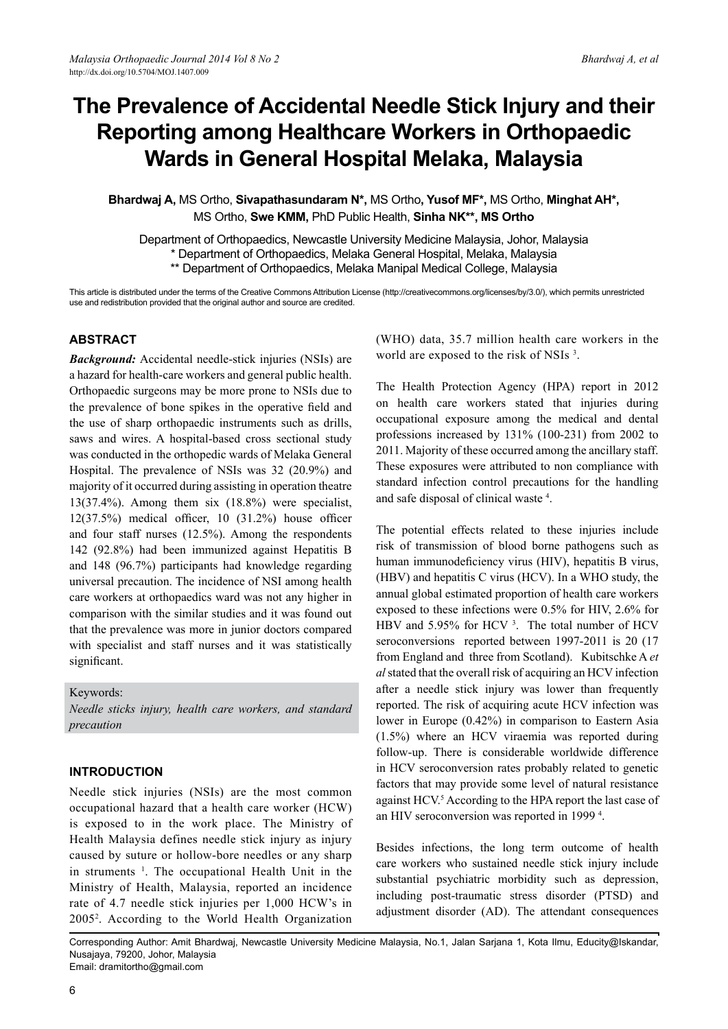# **The Prevalence of Accidental Needle Stick Injury and their Reporting among Healthcare Workers in Orthopaedic Wards in General Hospital Melaka, Malaysia**

**Bhardwaj A,** MS Ortho, **Sivapathasundaram N\*,** MS Ortho**, Yusof MF\*,** MS Ortho, **Minghat AH\*,**  MS Ortho, **Swe KMM,** PhD Public Health, **Sinha NK\*\*, MS Ortho** 

Department of Orthopaedics, Newcastle University Medicine Malaysia, Johor, Malaysia \* Department of Orthopaedics, Melaka General Hospital, Melaka, Malaysia \*\* Department of Orthopaedics, Melaka Manipal Medical College, Malaysia

This article is distributed under the terms of the Creative Commons Attribution License (http://creativecommons.org/licenses/by/3.0/), which permits unrestricted use and redistribution provided that the original author and source are credited.

# **Abstract**

*Background:* Accidental needle-stick injuries (NSIs) are a hazard for health-care workers and general public health. Orthopaedic surgeons may be more prone to NSIs due to the prevalence of bone spikes in the operative field and the use of sharp orthopaedic instruments such as drills, saws and wires. A hospital-based cross sectional study was conducted in the orthopedic wards of Melaka General Hospital. The prevalence of NSIs was 32 (20.9%) and majority of it occurred during assisting in operation theatre 13(37.4%). Among them six (18.8%) were specialist, 12(37.5%) medical officer, 10 (31.2%) house officer and four staff nurses (12.5%). Among the respondents 142 (92.8%) had been immunized against Hepatitis B and 148 (96.7%) participants had knowledge regarding universal precaution. The incidence of NSI among health care workers at orthopaedics ward was not any higher in comparison with the similar studies and it was found out that the prevalence was more in junior doctors compared with specialist and staff nurses and it was statistically significant.

Keywords:

*Needle sticks injury, health care workers, and standard precaution*

#### **Introduction**

Needle stick injuries (NSIs) are the most common occupational hazard that a health care worker (HCW) is exposed to in the work place. The Ministry of Health Malaysia defines needle stick injury as injury caused by suture or hollow-bore needles or any sharp in struments <sup>1</sup>. The occupational Health Unit in the Ministry of Health, Malaysia, reported an incidence rate of 4.7 needle stick injuries per 1,000 HCW's in 20052 . According to the World Health Organization (WHO) data, 35.7 million health care workers in the world are exposed to the risk of NSIs<sup>3</sup>.

The Health Protection Agency (HPA) report in 2012 on health care workers stated that injuries during occupational exposure among the medical and dental professions increased by 131% (100-231) from 2002 to 2011. Majority of these occurred among the ancillary staff. These exposures were attributed to non compliance with standard infection control precautions for the handling and safe disposal of clinical waste 4 .

The potential effects related to these injuries include risk of transmission of blood borne pathogens such as human immunodeficiency virus (HIV), hepatitis B virus, (HBV) and hepatitis C virus (HCV). In a WHO study, the annual global estimated proportion of health care workers exposed to these infections were 0.5% for HIV, 2.6% for HBV and 5.95% for HCV<sup>3</sup>. The total number of HCV seroconversions reported between 1997-2011 is 20 (17 from England and three from Scotland). Kubitschke A *et al* stated that the overall risk of acquiring an HCV infection after a needle stick injury was lower than frequently reported. The risk of acquiring acute HCV infection was lower in Europe (0.42%) in comparison to Eastern Asia (1.5%) where an HCV viraemia was reported during follow-up. There is considerable worldwide difference in HCV seroconversion rates probably related to genetic factors that may provide some level of natural resistance against HCV.<sup>5</sup> According to the HPA report the last case of an HIV seroconversion was reported in 1999 <sup>4</sup> .

Besides infections, the long term outcome of health care workers who sustained needle stick injury include substantial psychiatric morbidity such as depression, including post-traumatic stress disorder (PTSD) and adjustment disorder (AD). The attendant consequences

Corresponding Author: Amit Bhardwaj, Newcastle University Medicine Malaysia, No.1, Jalan Sarjana 1, Kota Ilmu, Educity@Iskandar, Nusajaya, 79200, Johor, Malaysia Email: dramitortho@gmail.com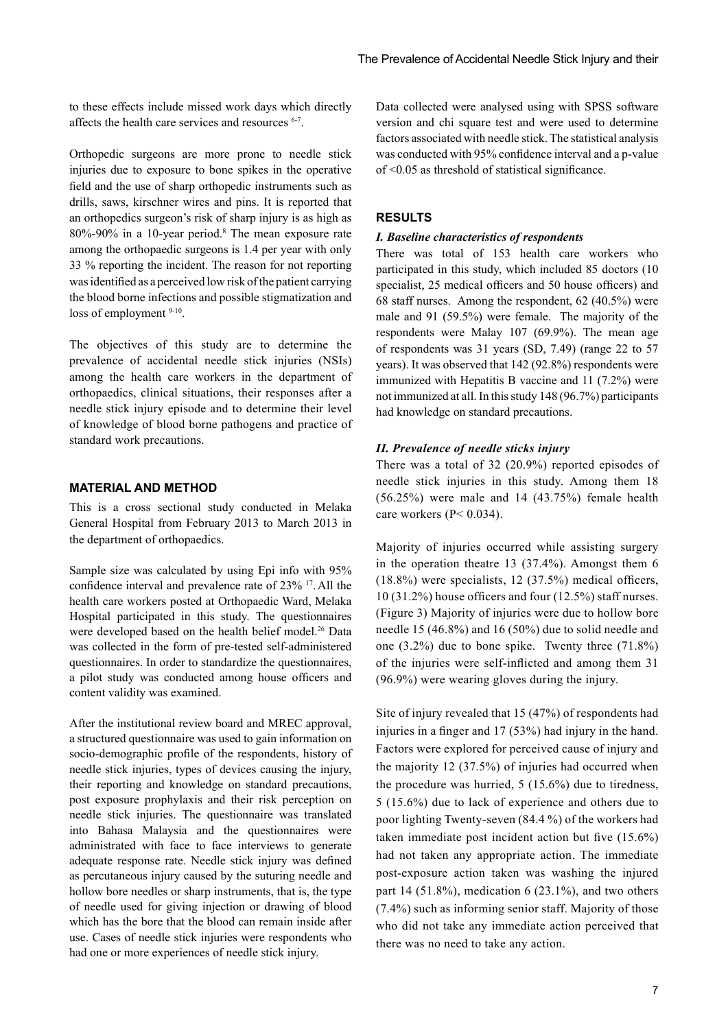to these effects include missed work days which directly affects the health care services and resources 6-7.

Orthopedic surgeons are more prone to needle stick injuries due to exposure to bone spikes in the operative field and the use of sharp orthopedic instruments such as drills, saws, kirschner wires and pins. It is reported that an orthopedics surgeon's risk of sharp injury is as high as 80%-90% in a 10-year period.8 The mean exposure rate among the orthopaedic surgeons is 1.4 per year with only 33 % reporting the incident. The reason for not reporting was identified as a perceived low risk of the patient carrying the blood borne infections and possible stigmatization and loss of employment  $9-10$ .

The objectives of this study are to determine the prevalence of accidental needle stick injuries (NSIs) among the health care workers in the department of orthopaedics, clinical situations, their responses after a needle stick injury episode and to determine their level of knowledge of blood borne pathogens and practice of standard work precautions.

# **Material and Method**

This is a cross sectional study conducted in Melaka General Hospital from February 2013 to March 2013 in the department of orthopaedics.

Sample size was calculated by using Epi info with 95% confidence interval and prevalence rate of 23% 17.All the health care workers posted at Orthopaedic Ward, Melaka Hospital participated in this study. The questionnaires were developed based on the health belief model.<sup>26</sup> Data was collected in the form of pre-tested self-administered questionnaires. In order to standardize the questionnaires, a pilot study was conducted among house officers and content validity was examined.

After the institutional review board and MREC approval, a structured questionnaire was used to gain information on socio-demographic profile of the respondents, history of needle stick injuries, types of devices causing the injury, their reporting and knowledge on standard precautions, post exposure prophylaxis and their risk perception on needle stick injuries. The questionnaire was translated into Bahasa Malaysia and the questionnaires were administrated with face to face interviews to generate adequate response rate. Needle stick injury was defined as percutaneous injury caused by the suturing needle and hollow bore needles or sharp instruments, that is, the type of needle used for giving injection or drawing of blood which has the bore that the blood can remain inside after use. Cases of needle stick injuries were respondents who had one or more experiences of needle stick injury.

Data collected were analysed using with SPSS software version and chi square test and were used to determine factors associated with needle stick. The statistical analysis was conducted with 95% confidence interval and a p-value of <0.05 as threshold of statistical significance.

#### **Results**

#### *I. Baseline characteristics of respondents*

There was total of 153 health care workers who participated in this study, which included 85 doctors (10 specialist, 25 medical officers and 50 house officers) and 68 staff nurses. Among the respondent, 62 (40.5%) were male and 91 (59.5%) were female. The majority of the respondents were Malay 107 (69.9%). The mean age of respondents was 31 years (SD, 7.49) (range 22 to 57 years). It was observed that 142 (92.8%) respondents were immunized with Hepatitis B vaccine and 11 (7.2%) were not immunized at all. In this study 148 (96.7%) participants had knowledge on standard precautions.

#### *II. Prevalence of needle sticks injury*

There was a total of 32 (20.9%) reported episodes of needle stick injuries in this study. Among them 18 (56.25%) were male and 14 (43.75%) female health care workers (P< 0.034).

Majority of injuries occurred while assisting surgery in the operation theatre 13 (37.4%). Amongst them 6 (18.8%) were specialists, 12 (37.5%) medical officers, 10 (31.2%) house officers and four (12.5%) staff nurses. (Figure 3) Majority of injuries were due to hollow bore needle 15 (46.8%) and 16 (50%) due to solid needle and one (3.2%) due to bone spike. Twenty three (71.8%) of the injuries were self-inflicted and among them 31 (96.9%) were wearing gloves during the injury.

Site of injury revealed that 15 (47%) of respondents had injuries in a finger and 17 (53%) had injury in the hand. Factors were explored for perceived cause of injury and the majority 12 (37.5%) of injuries had occurred when the procedure was hurried, 5 (15.6%) due to tiredness, 5 (15.6%) due to lack of experience and others due to poor lighting Twenty-seven (84.4 %) of the workers had taken immediate post incident action but five (15.6%) had not taken any appropriate action. The immediate post-exposure action taken was washing the injured part 14 (51.8%), medication 6 (23.1%), and two others (7.4%) such as informing senior staff. Majority of those who did not take any immediate action perceived that there was no need to take any action.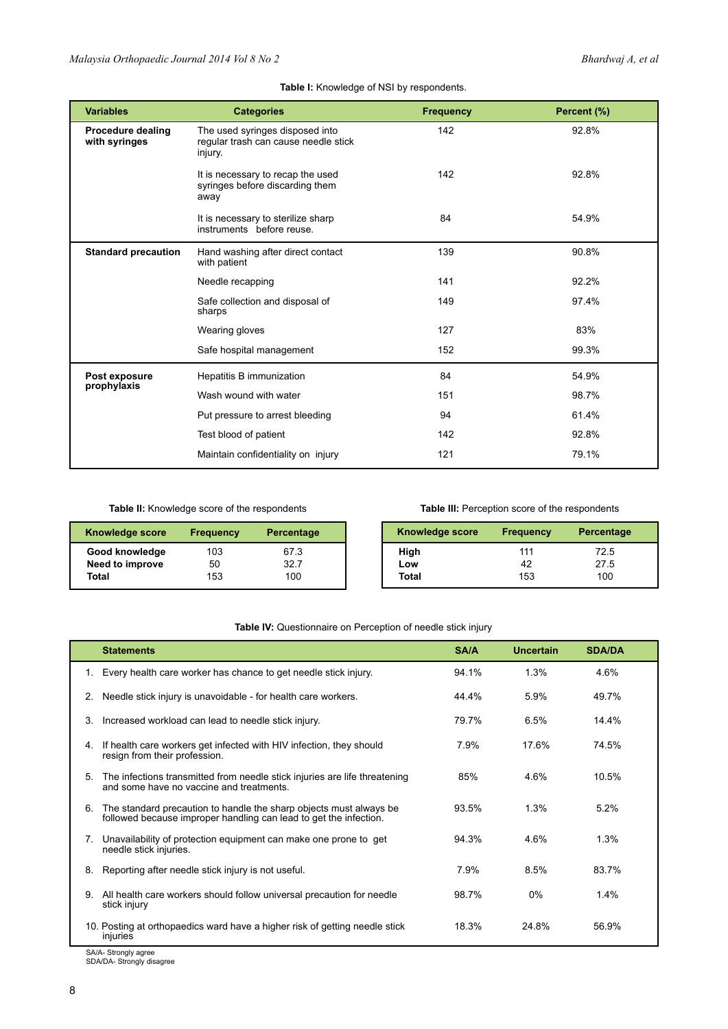# **Table I:** Knowledge of NSI by respondents.

| <b>Variables</b>                          | <b>Categories</b>                                                                  | <b>Frequency</b> | Percent (%) |
|-------------------------------------------|------------------------------------------------------------------------------------|------------------|-------------|
| <b>Procedure dealing</b><br>with syringes | The used syringes disposed into<br>regular trash can cause needle stick<br>injury. | 142              | 92.8%       |
|                                           | It is necessary to recap the used<br>syringes before discarding them<br>away       | 142              | 92.8%       |
|                                           | It is necessary to sterilize sharp<br>instruments before reuse.                    | 84               | 54.9%       |
| <b>Standard precaution</b>                | Hand washing after direct contact<br>with patient                                  | 139              | 90.8%       |
|                                           | Needle recapping                                                                   | 141              | 92.2%       |
|                                           | Safe collection and disposal of<br>sharps                                          | 149              | 97.4%       |
|                                           | Wearing gloves                                                                     | 127              | 83%         |
|                                           | Safe hospital management                                                           | 152              | 99.3%       |
| Post exposure                             | Hepatitis B immunization                                                           | 84               | 54.9%       |
| prophylaxis                               | Wash wound with water                                                              | 151              | 98.7%       |
|                                           | Put pressure to arrest bleeding                                                    | 94               | 61.4%       |
|                                           | Test blood of patient                                                              | 142              | 92.8%       |
|                                           | Maintain confidentiality on injury                                                 | 121              | 79.1%       |

**Table II:** Knowledge score of the respondents

# **Table III:** Perception score of the respondents

| Knowledge score | <b>Frequency</b> | <b>Percentage</b> | <b>Knowledge score</b> | <b>Frequency</b> | Percentage |
|-----------------|------------------|-------------------|------------------------|------------------|------------|
| Good knowledge  | 103              | 67.3              | High                   | 111              | 72.5       |
| Need to improve | 50               | 32.7              | Low                    | 42               | 27.5       |
| Total           | 153              | 100               | <b>Total</b>           | 153              | 100        |

# **Table IV:** Questionnaire on Perception of needle stick injury

|    | <b>Statements</b>                                                                                                                       | SA/A  | Uncertain | <b>SDA/DA</b> |
|----|-----------------------------------------------------------------------------------------------------------------------------------------|-------|-----------|---------------|
| 1. | Every health care worker has chance to get needle stick injury.                                                                         | 94.1% | 1.3%      | 4.6%          |
| 2. | Needle stick injury is unavoidable - for health care workers.                                                                           | 44.4% | 5.9%      | 49.7%         |
| 3. | Increased workload can lead to needle stick injury.                                                                                     | 79.7% | 6.5%      | 14.4%         |
| 4. | If health care workers get infected with HIV infection, they should<br>resign from their profession.                                    | 7.9%  | 17.6%     | 74.5%         |
| 5. | The infections transmitted from needle stick injuries are life threatening<br>and some have no vaccine and treatments.                  | 85%   | 4.6%      | 10.5%         |
| 6. | The standard precaution to handle the sharp objects must always be<br>followed because improper handling can lead to get the infection. | 93.5% | 1.3%      | 5.2%          |
| 7. | Unavailability of protection equipment can make one prone to get<br>needle stick injuries.                                              | 94.3% | 4.6%      | 1.3%          |
| 8. | Reporting after needle stick injury is not useful.                                                                                      | 7.9%  | 8.5%      | 83.7%         |
| 9. | All health care workers should follow universal precaution for needle<br>stick injury                                                   | 98.7% | 0%        | 1.4%          |
|    | 10. Posting at orthopaedics ward have a higher risk of getting needle stick<br>injuries                                                 | 18.3% | 24 8%     | 56.9%         |

SA/A- Strongly agree SDA/DA- Strongly disagree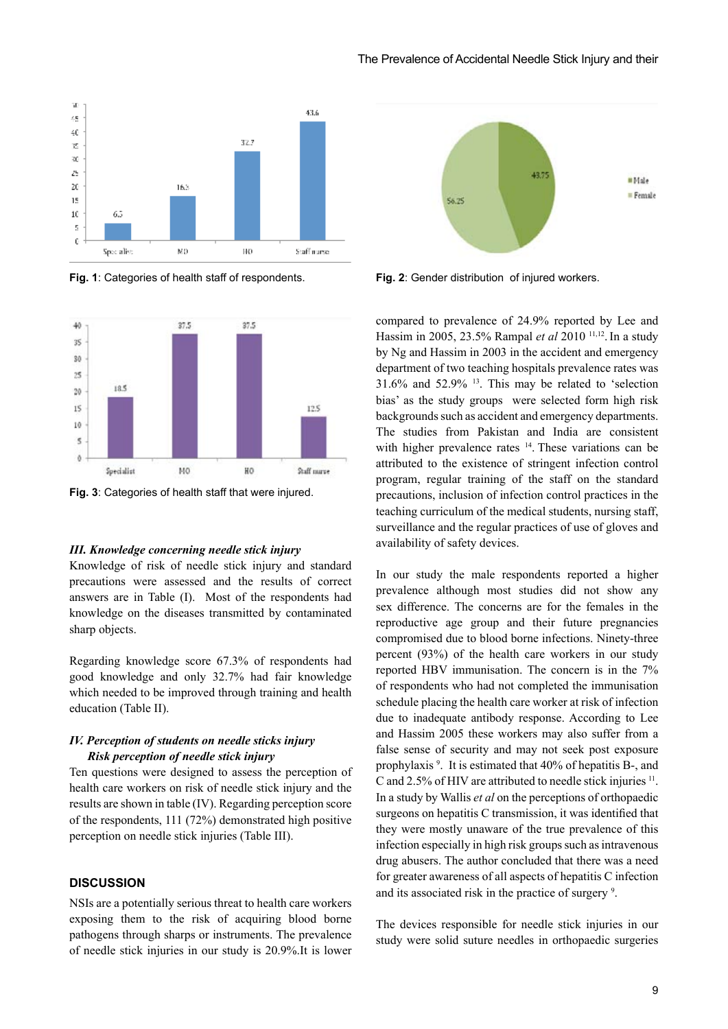

**Fig. 1**: Categories of health staff of respondents. **Fig. 2**: Gender distribution of injured workers.



**Fig. 3**: Categories of health staff that were injured.

#### *III. Knowledge concerning needle stick injury*

Knowledge of risk of needle stick injury and standard precautions were assessed and the results of correct answers are in Table (I). Most of the respondents had knowledge on the diseases transmitted by contaminated sharp objects.

Regarding knowledge score 67.3% of respondents had good knowledge and only 32.7% had fair knowledge which needed to be improved through training and health education (Table II).

#### *IV. Perception of students on needle sticks injury Risk perception of needle stick injury*

Ten questions were designed to assess the perception of health care workers on risk of needle stick injury and the results are shown in table (IV). Regarding perception score of the respondents, 111 (72%) demonstrated high positive perception on needle stick injuries (Table III).

## **Discussion**

NSIs are a potentially serious threat to health care workers exposing them to the risk of acquiring blood borne pathogens through sharps or instruments. The prevalence of needle stick injuries in our study is 20.9%.It is lower



compared to prevalence of 24.9% reported by Lee and Hassim in 2005, 23.5% Rampal *et al* 2010<sup>11,12</sup>. In a study by Ng and Hassim in 2003 in the accident and emergency department of two teaching hospitals prevalence rates was 31.6% and 52.9% 13. This may be related to 'selection bias' as the study groups were selected form high risk backgrounds such as accident and emergency departments. The studies from Pakistan and India are consistent with higher prevalence rates <sup>14</sup>. These variations can be attributed to the existence of stringent infection control program, regular training of the staff on the standard precautions, inclusion of infection control practices in the teaching curriculum of the medical students, nursing staff, surveillance and the regular practices of use of gloves and availability of safety devices.

In our study the male respondents reported a higher prevalence although most studies did not show any sex difference. The concerns are for the females in the reproductive age group and their future pregnancies compromised due to blood borne infections. Ninety-three percent (93%) of the health care workers in our study reported HBV immunisation. The concern is in the 7% of respondents who had not completed the immunisation schedule placing the health care worker at risk of infection due to inadequate antibody response. According to Lee and Hassim 2005 these workers may also suffer from a false sense of security and may not seek post exposure prophylaxis<sup>9</sup>. It is estimated that 40% of hepatitis B-, and C and 2.5% of HIV are attributed to needle stick injuries <sup>11</sup>. In a study by Wallis *et al* on the perceptions of orthopaedic surgeons on hepatitis C transmission, it was identified that they were mostly unaware of the true prevalence of this infection especially in high risk groups such as intravenous drug abusers. The author concluded that there was a need for greater awareness of all aspects of hepatitis C infection and its associated risk in the practice of surgery 9 .

The devices responsible for needle stick injuries in our study were solid suture needles in orthopaedic surgeries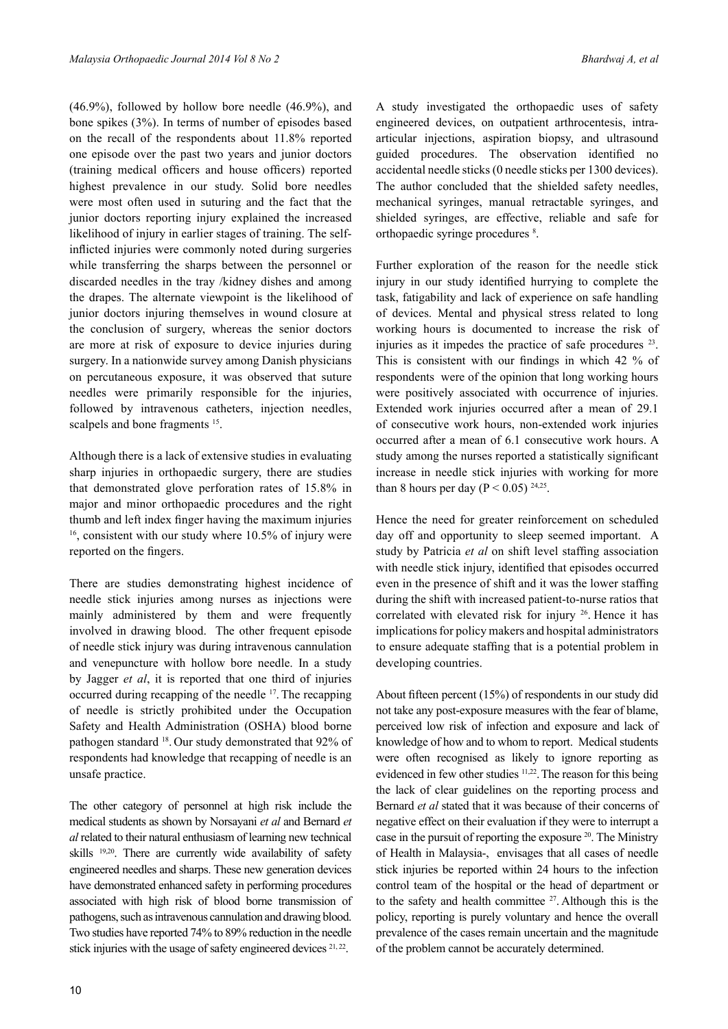(46.9%), followed by hollow bore needle (46.9%), and bone spikes (3%). In terms of number of episodes based on the recall of the respondents about 11.8% reported one episode over the past two years and junior doctors (training medical officers and house officers) reported highest prevalence in our study. Solid bore needles were most often used in suturing and the fact that the junior doctors reporting injury explained the increased likelihood of injury in earlier stages of training. The selfinflicted injuries were commonly noted during surgeries while transferring the sharps between the personnel or discarded needles in the tray /kidney dishes and among the drapes. The alternate viewpoint is the likelihood of junior doctors injuring themselves in wound closure at the conclusion of surgery, whereas the senior doctors are more at risk of exposure to device injuries during surgery. In a nationwide survey among Danish physicians on percutaneous exposure, it was observed that suture needles were primarily responsible for the injuries, followed by intravenous catheters, injection needles, scalpels and bone fragments <sup>15</sup>.

Although there is a lack of extensive studies in evaluating sharp injuries in orthopaedic surgery, there are studies that demonstrated glove perforation rates of 15.8% in major and minor orthopaedic procedures and the right thumb and left index finger having the maximum injuries  $16$ , consistent with our study where 10.5% of injury were reported on the fingers.

There are studies demonstrating highest incidence of needle stick injuries among nurses as injections were mainly administered by them and were frequently involved in drawing blood. The other frequent episode of needle stick injury was during intravenous cannulation and venepuncture with hollow bore needle. In a study by Jagger *et al*, it is reported that one third of injuries occurred during recapping of the needle 17.The recapping of needle is strictly prohibited under the Occupation Safety and Health Administration (OSHA) blood borne pathogen standard 18. Our study demonstrated that 92% of respondents had knowledge that recapping of needle is an unsafe practice.

The other category of personnel at high risk include the medical students as shown by Norsayani *et al* and Bernard *et al* related to their natural enthusiasm of learning new technical skills 19,20. There are currently wide availability of safety engineered needles and sharps. These new generation devices have demonstrated enhanced safety in performing procedures associated with high risk of blood borne transmission of pathogens, such as intravenous cannulation and drawing blood. Two studies have reported 74% to 89% reduction in the needle stick injuries with the usage of safety engineered devices <sup>21, 22</sup>.

A study investigated the orthopaedic uses of safety engineered devices, on outpatient arthrocentesis, intraarticular injections, aspiration biopsy, and ultrasound guided procedures. The observation identified no accidental needle sticks (0 needle sticks per 1300 devices). The author concluded that the shielded safety needles, mechanical syringes, manual retractable syringes, and shielded syringes, are effective, reliable and safe for orthopaedic syringe procedures 8 .

Further exploration of the reason for the needle stick injury in our study identified hurrying to complete the task, fatigability and lack of experience on safe handling of devices. Mental and physical stress related to long working hours is documented to increase the risk of injuries as it impedes the practice of safe procedures 23. This is consistent with our findings in which 42 % of respondents were of the opinion that long working hours were positively associated with occurrence of injuries. Extended work injuries occurred after a mean of 29.1 of consecutive work hours, non-extended work injuries occurred after a mean of 6.1 consecutive work hours. A study among the nurses reported a statistically significant increase in needle stick injuries with working for more than 8 hours per day ( $P < 0.05$ ) <sup>24,25</sup>.

Hence the need for greater reinforcement on scheduled day off and opportunity to sleep seemed important. A study by Patricia *et al* on shift level staffing association with needle stick injury, identified that episodes occurred even in the presence of shift and it was the lower staffing during the shift with increased patient-to-nurse ratios that correlated with elevated risk for injury <sup>26</sup>. Hence it has implications for policy makers and hospital administrators to ensure adequate staffing that is a potential problem in developing countries.

About fifteen percent (15%) of respondents in our study did not take any post-exposure measures with the fear of blame, perceived low risk of infection and exposure and lack of knowledge of how and to whom to report. Medical students were often recognised as likely to ignore reporting as evidenced in few other studies <sup>11,22</sup>. The reason for this being the lack of clear guidelines on the reporting process and Bernard *et al* stated that it was because of their concerns of negative effect on their evaluation if they were to interrupt a case in the pursuit of reporting the exposure 20. The Ministry of Health in Malaysia-, envisages that all cases of needle stick injuries be reported within 24 hours to the infection control team of the hospital or the head of department or to the safety and health committee  $27$ . Although this is the policy, reporting is purely voluntary and hence the overall prevalence of the cases remain uncertain and the magnitude of the problem cannot be accurately determined.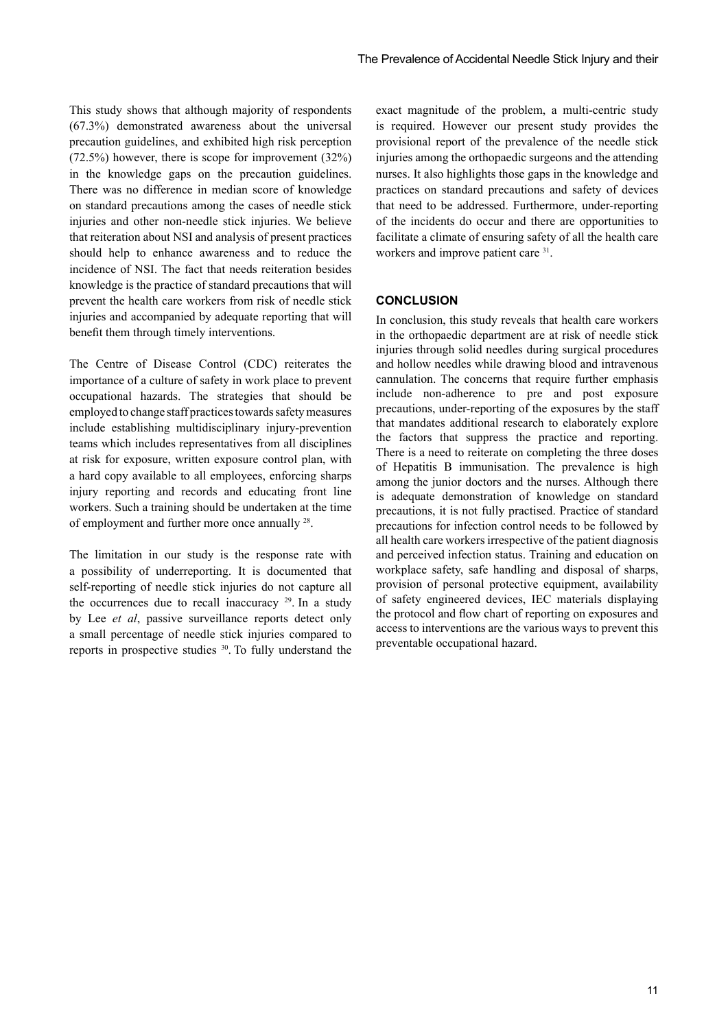This study shows that although majority of respondents (67.3%) demonstrated awareness about the universal precaution guidelines, and exhibited high risk perception (72.5%) however, there is scope for improvement (32%) in the knowledge gaps on the precaution guidelines. There was no difference in median score of knowledge on standard precautions among the cases of needle stick injuries and other non-needle stick injuries. We believe that reiteration about NSI and analysis of present practices should help to enhance awareness and to reduce the incidence of NSI. The fact that needs reiteration besides knowledge is the practice of standard precautions that will prevent the health care workers from risk of needle stick injuries and accompanied by adequate reporting that will benefit them through timely interventions.

The Centre of Disease Control (CDC) reiterates the importance of a culture of safety in work place to prevent occupational hazards. The strategies that should be employed to change staff practices towards safety measures include establishing multidisciplinary injury-prevention teams which includes representatives from all disciplines at risk for exposure, written exposure control plan, with a hard copy available to all employees, enforcing sharps injury reporting and records and educating front line workers. Such a training should be undertaken at the time of employment and further more once annually 28.

The limitation in our study is the response rate with a possibility of underreporting. It is documented that self-reporting of needle stick injuries do not capture all the occurrences due to recall inaccuracy  $29$ . In a study by Lee *et al*, passive surveillance reports detect only a small percentage of needle stick injuries compared to reports in prospective studies 30. To fully understand the

exact magnitude of the problem, a multi-centric study is required. However our present study provides the provisional report of the prevalence of the needle stick injuries among the orthopaedic surgeons and the attending nurses. It also highlights those gaps in the knowledge and practices on standard precautions and safety of devices that need to be addressed. Furthermore, under-reporting of the incidents do occur and there are opportunities to facilitate a climate of ensuring safety of all the health care workers and improve patient care <sup>31</sup>.

#### **Conclusion**

In conclusion, this study reveals that health care workers in the orthopaedic department are at risk of needle stick injuries through solid needles during surgical procedures and hollow needles while drawing blood and intravenous cannulation. The concerns that require further emphasis include non-adherence to pre and post exposure precautions, under-reporting of the exposures by the staff that mandates additional research to elaborately explore the factors that suppress the practice and reporting. There is a need to reiterate on completing the three doses of Hepatitis B immunisation. The prevalence is high among the junior doctors and the nurses. Although there is adequate demonstration of knowledge on standard precautions, it is not fully practised. Practice of standard precautions for infection control needs to be followed by all health care workers irrespective of the patient diagnosis and perceived infection status. Training and education on workplace safety, safe handling and disposal of sharps, provision of personal protective equipment, availability of safety engineered devices, IEC materials displaying the protocol and flow chart of reporting on exposures and access to interventions are the various ways to prevent this preventable occupational hazard.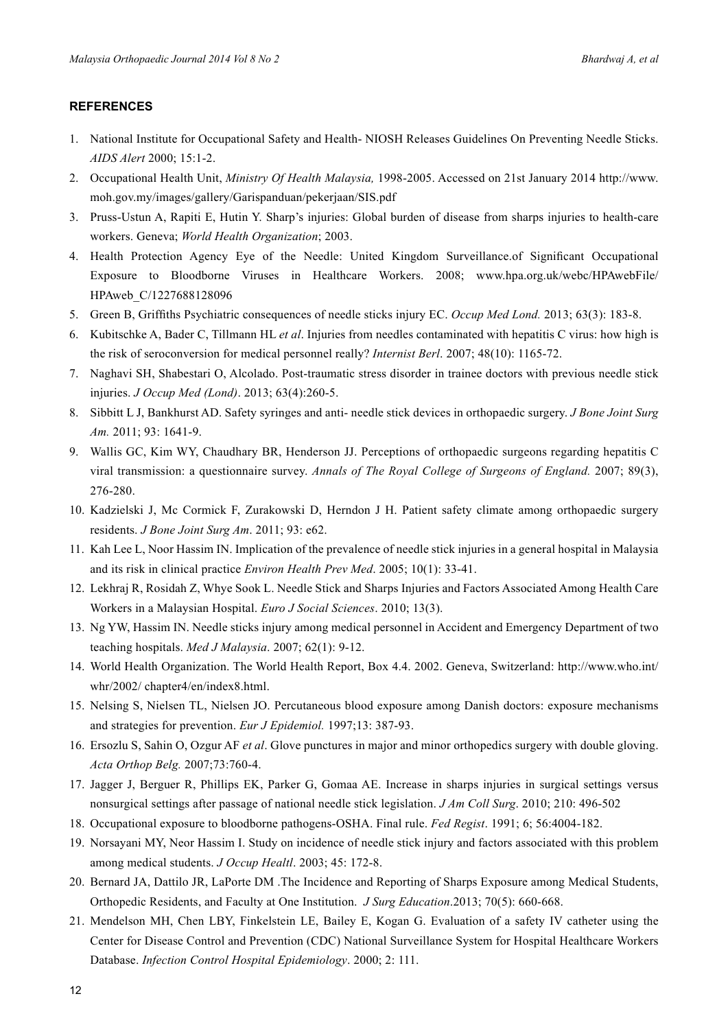# **References**

- 1. National Institute for Occupational Safety and Health- NIOSH Releases Guidelines On Preventing Needle Sticks. *AIDS Alert* 2000; 15:1-2.
- 2. Occupational Health Unit, *Ministry Of Health Malaysia,* 1998-2005. Accessed on 21st January 2014 http://www. moh.gov.my/images/gallery/Garispanduan/pekerjaan/SIS.pdf
- 3. Pruss-Ustun A, Rapiti E, Hutin Y. Sharp's injuries: Global burden of disease from sharps injuries to health-care workers. Geneva; *World Health Organization*; 2003.
- 4. Health Protection Agency Eye of the Needle: United Kingdom Surveillance.of Significant Occupational Exposure to Bloodborne Viruses in Healthcare Workers. 2008; www.hpa.org.uk/webc/HPAwebFile/ HPAweb\_C/1227688128096
- 5. Green B, Griffiths Psychiatric consequences of needle sticks injury EC. *Occup Med Lond.* 2013; 63(3): 183-8.
- 6. Kubitschke A, Bader C, Tillmann HL *et al*. Injuries from needles contaminated with hepatitis C virus: how high is the risk of seroconversion for medical personnel really? *Internist Berl*. 2007; 48(10): 1165-72.
- 7. Naghavi SH, Shabestari O, Alcolado. Post-traumatic stress disorder in trainee doctors with previous needle stick injuries. *J Occup Med (Lond)*. 2013; 63(4):260-5.
- 8. Sibbitt L J, Bankhurst AD. Safety syringes and anti- needle stick devices in orthopaedic surgery. *J Bone Joint Surg Am.* 2011; 93: 1641-9.
- 9. Wallis GC, Kim WY, Chaudhary BR, Henderson JJ. Perceptions of orthopaedic surgeons regarding hepatitis C viral transmission: a questionnaire survey. *Annals of The Royal College of Surgeons of England.* 2007; 89(3), 276-280.
- 10. Kadzielski J, Mc Cormick F, Zurakowski D, Herndon J H. Patient safety climate among orthopaedic surgery residents. *J Bone Joint Surg Am*. 2011; 93: e62.
- 11. Kah Lee L, Noor Hassim IN. Implication of the prevalence of needle stick injuries in a general hospital in Malaysia and its risk in clinical practice *Environ Health Prev Med*. 2005; 10(1): 33-41.
- 12. Lekhraj R, Rosidah Z, Whye Sook L. Needle Stick and Sharps Injuries and Factors Associated Among Health Care Workers in a Malaysian Hospital. *Euro J Social Sciences*. 2010; 13(3).
- 13. Ng YW, Hassim IN. Needle sticks injury among medical personnel in Accident and Emergency Department of two teaching hospitals. *Med J Malaysia*. 2007; 62(1): 9-12.
- 14. World Health Organization. The World Health Report, Box 4.4. 2002. Geneva, Switzerland: http://www.who.int/ whr/2002/ chapter4/en/index8.html.
- 15. Nelsing S, Nielsen TL, Nielsen JO. Percutaneous blood exposure among Danish doctors: exposure mechanisms and strategies for prevention. *Eur J Epidemiol.* 1997;13: 387-93.
- 16. Ersozlu S, Sahin O, Ozgur AF *et al*. Glove punctures in major and minor orthopedics surgery with double gloving. *Acta Orthop Belg.* 2007;73:760-4.
- 17. Jagger J, Berguer R, Phillips EK, Parker G, Gomaa AE. Increase in sharps injuries in surgical settings versus nonsurgical settings after passage of national needle stick legislation. *J Am Coll Surg*. 2010; 210: 496-502
- 18. Occupational exposure to bloodborne pathogens-OSHA. Final rule. *Fed Regist*. 1991; 6; 56:4004-182.
- 19. Norsayani MY, Neor Hassim I. Study on incidence of needle stick injury and factors associated with this problem among medical students. *J Occup Healtl*. 2003; 45: 172-8.
- 20. Bernard JA, Dattilo JR, LaPorte DM .The Incidence and Reporting of Sharps Exposure among Medical Students, Orthopedic Residents, and Faculty at One Institution. *J Surg Education*.2013; 70(5): 660-668.
- 21. Mendelson MH, Chen LBY, Finkelstein LE, Bailey E, Kogan G. Evaluation of a safety IV catheter using the Center for Disease Control and Prevention (CDC) National Surveillance System for Hospital Healthcare Workers Database. *Infection Control Hospital Epidemiology*. 2000; 2: 111.